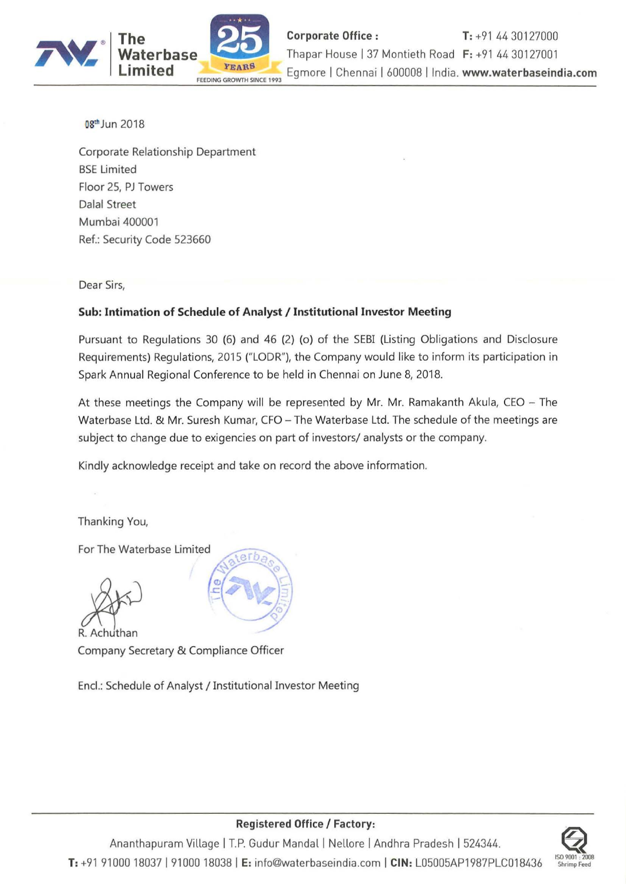

08<sup>th</sup> Jun 2018

Corporate Relationship Department BSE Limited Floor 2S, PJ Towers Dalal Street Mumbai 400001 Ref.: Security Code 523660

Dear Sirs,

## **Sub: Intimation of Schedule of Analyst /** Institutional Investor **Meeting**

Pursuant to Regulations 30 (6) and 46 (2) (0) **of** the SEBI (Listing Obligations and Disclosure Requirements) Regulations, 2015 ("LODR"), the Company would like to inform its participation in Spark Annual Regional Conference to be held in Chennai on June 8, 2018.

At these meetings the Company will be represented by Mr. Mr. Ramakanth Akula, CEO - The Waterbase Ltd. & Mr. Suresh Kumar, CFO - The Waterbase Ltd. The schedule of the meetings are subject to change due to exigencies on part of investors/ analysts or the company.

Kindly acknowledge receipt and take on record the above information.

Thanking You,

For The Wate<br>
R. Achuthan<br>
Company So

Company Secretary & Compliance Officer

Encl.: Schedule of Analyst / Institutional Investor Meeting





## **Registered Office / Factory:**

Ananthapuram Village | T.P. Gudur Mandal | Nellore | Andhra Pradesh | 524344. **T:** +919100018037191000180381 **E:** info@waterbaseindia.com I **CIN:** L05005AP1987PLC018436 **ISO <sup>900</sup> 1: <sup>2008</sup>**